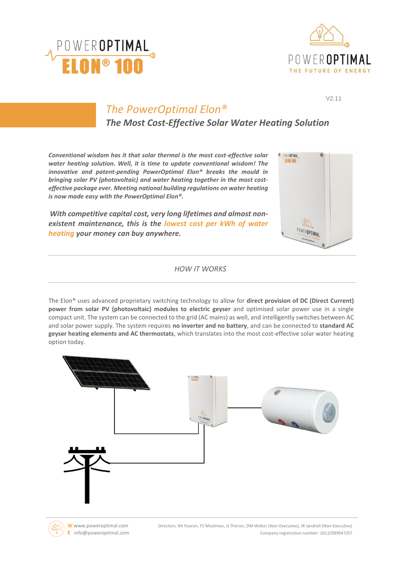



V2.11

**C** POWEROPTIMAL **ELON 100** 

POWEROPTIMAL

# *The PowerOptimal Elon®*

*The Most Cost-Effective Solar Water Heating Solution*

*Conventional wisdom has it that solar thermal is the most cost-effective solar water heating solution. Well, it is time to update conventional wisdom! The innovative and patent-pending PowerOptimal Elon® breaks the mould in bringing solar PV (photovoltaic) and water heating together in the most costeffective package ever. Meeting national building regulations on water heating is now made easy with the PowerOptimal Elon®.*

*With competitive capital cost, very long lifetimes and almost nonexistent maintenance, this is the lowest cost per kWh of water heating your money can buy anywhere.*

# *HOW IT WORKS*

The Elon® uses advanced proprietary switching technology to allow for **direct provision of DC (Direct Current) power from solar PV (photovoltaic) modules to electric geyser** and optimised solar power use in a single compact unit. The system can be connected to the grid (AC mains) as well, and intelligently switches between AC and solar power supply. The system requires **no inverter and no battery**, and can be connected to **standard AC geyser heating elements and AC thermostats**, which translates into the most cost-effective solar water heating option today.



**W** www.poweroptimal.com Directors: RA Fearon, FS Moolman, JJ Theron, DM Weber (Non-Executive), IR Jandrell (Non-Executive) **E** info@poweroptimal.com Company registration number: 2012/099947/07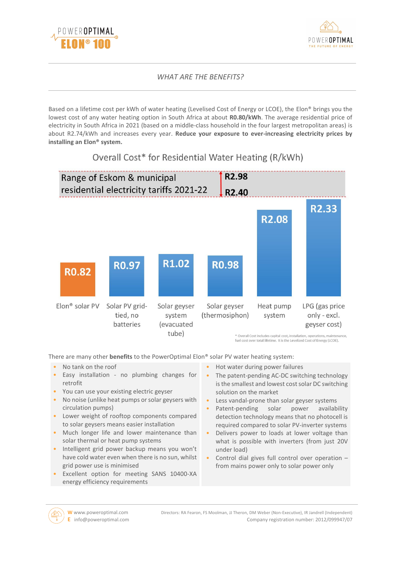



# *WHAT ARE THE BENEFITS?*

Based on a lifetime cost per kWh of water heating (Levelised Cost of Energy or LCOE), the Elon® brings you the lowest cost of any water heating option in South Africa at about **R0.80/kWh**. The average residential price of electricity in South Africa in 2021 (based on a middle-class household in the four largest metropolitan areas) is about R2.74/kWh and increases every year. **Reduce your exposure to ever-increasing electricity prices by installing an Elon® system.**



Overall Cost\* for Residential Water Heating (R/kWh)

\* Overall Cost includes capital cost, installation, operations, mainten fuel cost over total lifetime. It is the Levelized Cost of Energy (LCOE).

There are many other **benefits** to the PowerOptimal Elon® solar PV water heating system:

- No tank on the roof
- Easy installation no plumbing changes for retrofit
- You can use your existing electric geyser
- No noise (unlike heat pumps or solar geysers with circulation pumps)
- Lower weight of rooftop components compared to solar geysers means easier installation
- Much longer life and lower maintenance than solar thermal or heat pump systems
- Intelligent grid power backup means you won't have cold water even when there is no sun, whilst grid power use is minimised
- Excellent option for meeting SANS 10400-XA energy efficiency requirements
- Hot water during power failures
- The patent-pending AC-DC switching technology is the smallest and lowest cost solar DC switching solution on the market
- Less vandal-prone than solar geyser systems
- Patent-pending solar power availability detection technology means that no photocell is required compared to solar PV-inverter systems
- Delivers power to loads at lower voltage than what is possible with inverters (from just 20V under load)
- Control dial gives full control over operation from mains power only to solar power only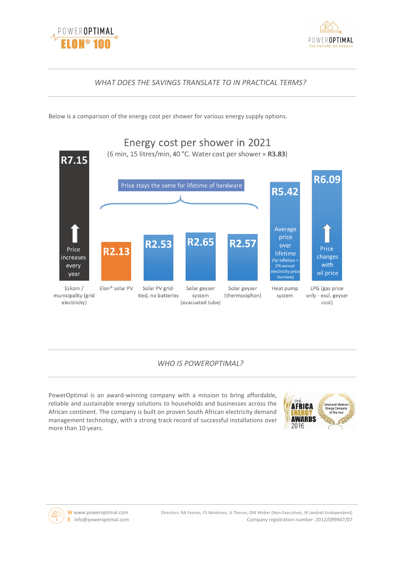



### *WHAT DOES THE SAVINGS TRANSLATE TO IN PRACTICAL TERMS?*

Below is a comparison of the energy cost per shower for various energy supply options.



#### *WHO IS POWEROPTIMAL?*

PowerOptimal is an award-winning company with a mission to bring affordable, reliable and sustainable energy solutions to households and businesses across the African continent. The company is built on proven South African electricity demand management technology, with a strong track record of successful installations over more than 10 years.



W www.poweroptimal.com Directors: RA Fearon, FS Moolman, JJ Theron, DM Weber (Non-Executive), IR Jandrell (Independent) **E** info@poweroptimal.com Company registration number: 2012/099947/07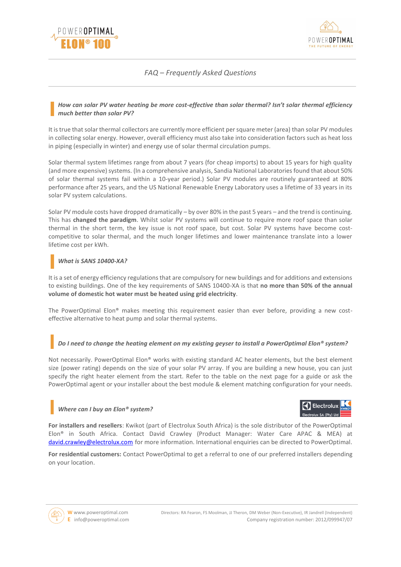



# *FAQ – Frequently Asked Questions*

#### *How can solar PV water heating be more cost-effective than solar thermal? Isn't solar thermal efficiency much better than solar PV?*

It is true that solar thermal collectors are currently more efficient per square meter (area) than solar PV modules in collecting solar energy. However, overall efficiency must also take into consideration factors such as heat loss in piping (especially in winter) and energy use of solar thermal circulation pumps.

Solar thermal system lifetimes range from about 7 years (for cheap imports) to about 15 years for high quality (and more expensive) systems. (In a comprehensive analysis, Sandia National Laboratories found that about 50% of solar thermal systems fail within a 10-year period.) Solar PV modules are routinely guaranteed at 80% performance after 25 years, and the US National Renewable Energy Laboratory uses a lifetime of 33 years in its solar PV system calculations.

Solar PV module costs have dropped dramatically – by over 80% in the past 5 years – and the trend is continuing. This has **changed the paradigm**. Whilst solar PV systems will continue to require more roof space than solar thermal in the short term, the key issue is not roof space, but cost. Solar PV systems have become costcompetitive to solar thermal, and the much longer lifetimes and lower maintenance translate into a lower lifetime cost per kWh.

#### *What is SANS 10400-XA?*

It is a set of energy efficiency regulations that are compulsory for new buildings and for additions and extensions to existing buildings. One of the key requirements of SANS 10400-XA is that **no more than 50% of the annual volume of domestic hot water must be heated using grid electricity**.

The PowerOptimal Elon® makes meeting this requirement easier than ever before, providing a new costeffective alternative to heat pump and solar thermal systems.

#### *Do I need to change the heating element on my existing geyser to install a PowerOptimal Elon® system?*

Not necessarily. PowerOptimal Elon® works with existing standard AC heater elements, but the best element size (power rating) depends on the size of your solar PV array. If you are building a new house, you can just specify the right heater element from the start. Refer to the table on the next page for a guide or ask the PowerOptimal agent or your installer about the best module & element matching configuration for your needs.

#### *Where can I buy an Elon® system?*



**For installers and resellers**: Kwikot (part of Electrolux South Africa) is the sole distributor of the PowerOptimal Elon® in South Africa. Contact David Crawley (Product Manager: Water Care APAC & MEA) at [david.crawley@electrolux.com](mailto:david.crawley@electrolux.com) for more information. International enquiries can be directed to PowerOptimal.

**For residential customers:** Contact PowerOptimal to get a referral to one of our preferred installers depending on your location.